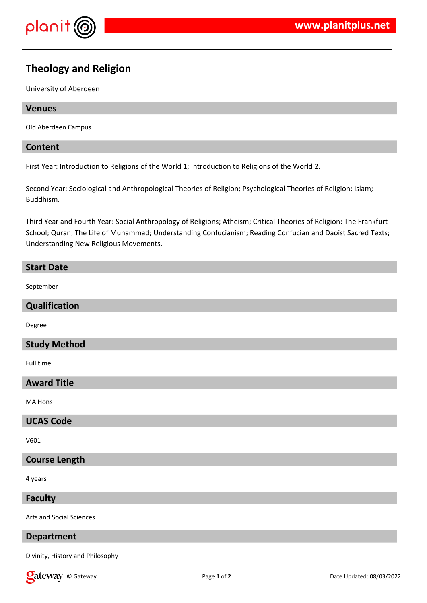

# **Theology and Religion**

University of Aberdeen

### **Venues**

Old Aberdeen Campus

### **Content**

First Year: Introduction to Religions of the World 1; Introduction to Religions of the World 2.

Second Year: Sociological and Anthropological Theories of Religion; Psychological Theories of Religion; Islam; Buddhism.

Third Year and Fourth Year: Social Anthropology of Religions; Atheism; Critical Theories of Religion: The Frankfurt School; Quran; The Life of Muhammad; Understanding Confucianism; Reading Confucian and Daoist Sacred Texts; Understanding New Religious Movements.

### **Start Date**

September

### **Qualification**

Degree

# **Study Method**

Full time

# **Award Title**

MA Hons

# **UCAS Code**

V601

# **Course Length**

4 years

**Faculty**

Arts and Social Sciences

# **Department**

Divinity, History and Philosophy

**Call Cauce Contract Contract Contract Contract Page 1 of 2** Date Updated: 08/03/2022 Date Updated: 08/03/2022